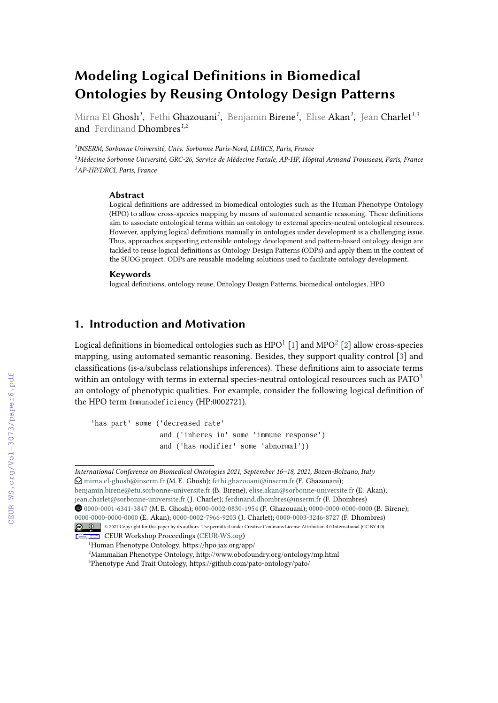# **Modeling Logical Definitions in Biomedical Ontologies by Reusing Ontology Design Patterns**

Mirna El **Ghosh<sup>1</sup>, Fethi Ghazouani<sup>1</sup>, Benjamin Birene<sup>1</sup>, Elise Akan<sup>1</sup>, Jean Charlet<sup>1,3</sup>** and Ferdinand Dhombres*1,2*

*1 INSERM, Sorbonne Université, Univ. Sorbonne Paris-Nord, LIMICS, Paris, France <sup>2</sup>Médecine Sorbonne Université, GRC-26, Service de Médecine Fœtale, AP-HP, Hôpital Armand Trousseau, Paris, France <sup>3</sup>AP-HP/DRCI, Paris, France*

#### **Abstract**

Logical definitions are addressed in biomedical ontologies such as the Human Phenotype Ontology (HPO) to allow cross-species mapping by means of automated semantic reasoning. These definitions aim to associate ontological terms within an ontology to external species-neutral ontological resources. However, applying logical definitions manually in ontologies under development is a challenging issue. Thus, approaches supporting extensible ontology development and pattern-based ontology design are tackled to reuse logical definitions as Ontology Design Patterns (ODPs) and apply them in the context of the SUOG project. ODPs are reusable modeling solutions used to facilitate ontology development.

#### **Keywords**

logical definitions, ontology reuse, Ontology Design Patterns, biomedical ontologies, HPO

## **1. Introduction and Motivation**

Logical definitions in biomedical ontologies such as HPO $^1$  $^1$  [\[1\]](#page--1-0) and MPO $^2$  $^2$  [\[2\]](#page--1-1) allow cross-species mapping, using automated semantic reasoning. Besides, they support quality control [\[3\]](#page--1-2) and classifications (is-a/subclass relationships inferences). These definitions aim to associate terms within an ontology with terms in external species-neutral ontological resources such as  $PATO<sup>3</sup>$  $PATO<sup>3</sup>$  $PATO<sup>3</sup>$ an ontology of phenotypic qualities. For example, consider the following logical definition of the HPO term Immunodeficiency (HP:0002721).

'has part' some ('decreased rate' and ('inheres in' some 'immune response') and ('has modifier' some 'abnormal'))

*International Conference on Biomedical Ontologies 2021, September 16–18, 2021, Bozen-Bolzano, Italy*  $\Theta$ [mirna.el-ghosh@inserm.fr](mailto:mirna.el-ghosh@inserm.fr) (M. E. Ghosh); [fethi.ghazouani@inserm.fr](mailto:fethi.ghazouani@inserm.fr) (F. Ghazouani); [benjamin.birene@etu.sorbonne-universite.fr](mailto:benjamin.birene@etu.sorbonne-universite.fr) (B. Birene); [elise.akan@sorbonne-universite.fr](mailto:elise.akan@sorbonne-universite.fr) (E. Akan);

[jean.charlet@sorbonne-universite.fr](mailto:jean.charlet@sorbonne-universite.fr) (J. Charlet); [ferdinand.dhombres@inserm.fr](mailto:ferdinand.dhombres@inserm.fr) (F. Dhombres) Orcid [0000-0001-6341-3847](https://orcid.org/0000-0001-6341-3847) (M. E. Ghosh); [0000-0002-0830-1954](https://orcid.org/0000-0002-0830-1954) (F. Ghazouani); [0000-0000-0000-0000](https://orcid.org/0000-0000-0000-0000) (B. Birene); [0000-0000-0000-0000](https://orcid.org/0000-0000-0000-0000) (E. Akan); [0000-0002-7966-9203](https://orcid.org/0000-0002-7966-9203) (J. Charlet); [0000-0003-3246-8727](https://orcid.org/0000-0003-3246-8727) (F. Dhombres)

<sup>© 2021</sup> Copyright for this paper by its authors. Use permitted under Creative Commons License Attribution 4.0 International (CC BY 4.0).

CEUR Workshop [Proceedings](http://ceur-ws.org) [\(CEUR-WS.org\)](http://ceur-ws.org)

<span id="page-0-1"></span><span id="page-0-0"></span><sup>1</sup>Human Phenotype Ontology, https://hpo.jax.org/app/ <sup>2</sup>Mammalian Phenotype Ontology, http://www.obofoundry.org/ontology/mp.html

<span id="page-0-2"></span><sup>3</sup>Phenotype And Trait Ontology, https://github.com/pato-ontology/pato/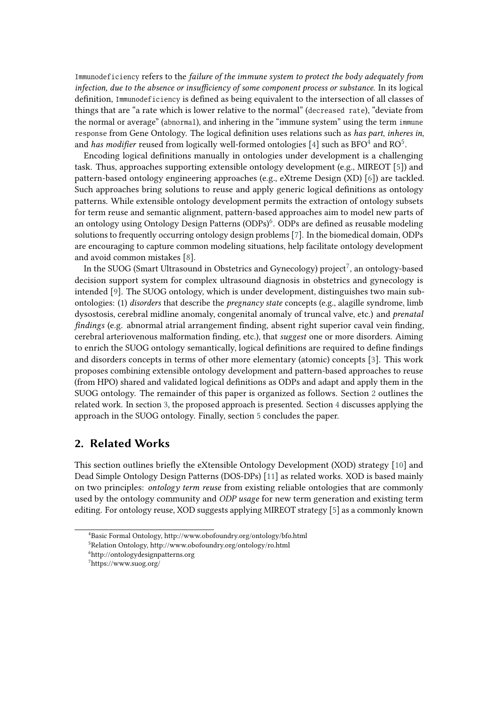Immunodeficiency refers to the *failure of the immune system to protect the body adequately from infection, due to the absence or insufficiency of some component process or substance*. In its logical definition, Immunodeficiency is defined as being equivalent to the intersection of all classes of things that are "a rate which is lower relative to the normal" (decreased rate), "deviate from the normal or average" (abnormal), and inhering in the "immune system" using the term immune response from Gene Ontology. The logical definition uses relations such as *has part*, *inheres in*, and *has modifier* reused from logically well-formed ontologies [\[4\]](#page-6-0) such as  $BFO^{\bar{4}}$  $BFO^{\bar{4}}$  $BFO^{\bar{4}}$  and  $RO^5$  $RO^5$ .

Encoding logical definitions manually in ontologies under development is a challenging task. Thus, approaches supporting extensible ontology development (e.g., MIREOT [\[5\]](#page-6-1)) and pattern-based ontology engineering approaches (e.g., eXtreme Design (XD) [\[6\]](#page-6-2)) are tackled. Such approaches bring solutions to reuse and apply generic logical definitions as ontology patterns. While extensible ontology development permits the extraction of ontology subsets for term reuse and semantic alignment, pattern-based approaches aim to model new parts of an ontology using Ontology Design Patterns (ODPs)<sup>[6](#page-1-2)</sup>. ODPs are defined as reusable modeling solutions to frequently occurring ontology design problems [\[7\]](#page-6-3). In the biomedical domain, ODPs are encouraging to capture common modeling situations, help facilitate ontology development and avoid common mistakes [\[8\]](#page-6-4).

In the SUOG (Smart Ultrasound in Obstetrics and Gynecology) project $^7$  $^7$ , an ontology-based decision support system for complex ultrasound diagnosis in obstetrics and gynecology is intended [\[9\]](#page-6-5). The SUOG ontology, which is under development, distinguishes two main subontologies: (1) *disorders* that describe the *pregnancy state* concepts (e.g., alagille syndrome, limb dysostosis, cerebral midline anomaly, congenital anomaly of truncal valve, etc.) and *prenatal findings* (e.g. abnormal atrial arrangement finding, absent right superior caval vein finding, cerebral arteriovenous malformation finding, etc.), that *suggest* one or more disorders. Aiming to enrich the SUOG ontology semantically, logical definitions are required to define findings and disorders concepts in terms of other more elementary (atomic) concepts [\[3\]](#page-6-6). This work proposes combining extensible ontology development and pattern-based approaches to reuse (from HPO) shared and validated logical definitions as ODPs and adapt and apply them in the SUOG ontology. The remainder of this paper is organized as follows. Section [2](#page-1-4) outlines the related work. In section [3,](#page-2-0) the proposed approach is presented. Section [4](#page-3-0) discusses applying the approach in the SUOG ontology. Finally, section [5](#page-4-0) concludes the paper.

### <span id="page-1-4"></span>**2. Related Works**

This section outlines briefly the eXtensible Ontology Development (XOD) strategy [\[10\]](#page-6-7) and Dead Simple Ontology Design Patterns (DOS-DPs) [\[11\]](#page-6-8) as related works. XOD is based mainly on two principles: *ontology term reuse* from existing reliable ontologies that are commonly used by the ontology community and *ODP usage* for new term generation and existing term editing. For ontology reuse, XOD suggests applying MIREOT strategy [\[5\]](#page-6-1) as a commonly known

<span id="page-1-0"></span><sup>4</sup>Basic Formal Ontology, http://www.obofoundry.org/ontology/bfo.html

<span id="page-1-1"></span><sup>5</sup>Relation Ontology, http://www.obofoundry.org/ontology/ro.html

<span id="page-1-2"></span><sup>6</sup>http://ontologydesignpatterns.org

<span id="page-1-3"></span><sup>7</sup>https://www.suog.org/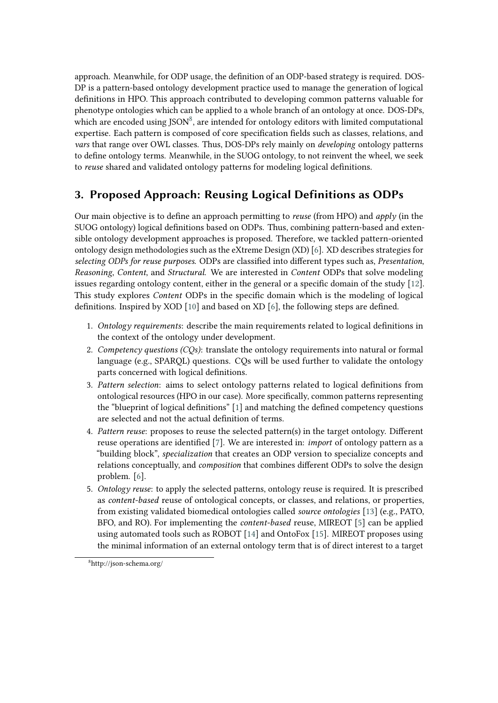approach. Meanwhile, for ODP usage, the definition of an ODP-based strategy is required. DOS-DP is a pattern-based ontology development practice used to manage the generation of logical definitions in HPO. This approach contributed to developing common patterns valuable for phenotype ontologies which can be applied to a whole branch of an ontology at once. DOS-DPs, which are encoded using JSON<sup>[8](#page-2-1)</sup>, are intended for ontology editors with limited computational expertise. Each pattern is composed of core specification fields such as classes, relations, and *vars* that range over OWL classes. Thus, DOS-DPs rely mainly on *developing* ontology patterns to define ontology terms. Meanwhile, in the SUOG ontology, to not reinvent the wheel, we seek to *reuse* shared and validated ontology patterns for modeling logical definitions.

## <span id="page-2-0"></span>**3. Proposed Approach: Reusing Logical Definitions as ODPs**

Our main objective is to define an approach permitting to *reuse* (from HPO) and *apply* (in the SUOG ontology) logical definitions based on ODPs. Thus, combining pattern-based and extensible ontology development approaches is proposed. Therefore, we tackled pattern-oriented ontology design methodologies such as the eXtreme Design (XD) [\[6\]](#page-6-2). XD describes strategies for *selecting ODPs for reuse purposes*. ODPs are classified into different types such as, *Presentation*, *Reasoning*, *Content*, and *Structural*. We are interested in *Content* ODPs that solve modeling issues regarding ontology content, either in the general or a specific domain of the study [\[12\]](#page-6-9). This study explores *Content* ODPs in the specific domain which is the modeling of logical definitions. Inspired by XOD [\[10\]](#page-6-7) and based on XD [\[6\]](#page-6-2), the following steps are defined.

- 1. *Ontology requirements*: describe the main requirements related to logical definitions in the context of the ontology under development.
- 2. *Competency questions (CQs)*: translate the ontology requirements into natural or formal language (e.g., SPARQL) questions. CQs will be used further to validate the ontology parts concerned with logical definitions.
- 3. *Pattern selection*: aims to select ontology patterns related to logical definitions from ontological resources (HPO in our case). More specifically, common patterns representing the "blueprint of logical definitions" [\[1\]](#page-6-10) and matching the defined competency questions are selected and not the actual definition of terms.
- 4. *Pattern reuse*: proposes to reuse the selected pattern(s) in the target ontology. Different reuse operations are identified [\[7\]](#page-6-3). We are interested in: *import* of ontology pattern as a "building block", *specialization* that creates an ODP version to specialize concepts and relations conceptually, and *composition* that combines different ODPs to solve the design problem. [\[6\]](#page-6-2).
- 5. *Ontology reuse*: to apply the selected patterns, ontology reuse is required. It is prescribed as *content-based* reuse of ontological concepts, or classes, and relations, or properties, from existing validated biomedical ontologies called *source ontologies* [\[13\]](#page-6-11) (e.g., PATO, BFO, and RO). For implementing the *content-based* reuse, MIREOT [\[5\]](#page-6-1) can be applied using automated tools such as ROBOT [\[14\]](#page-6-12) and OntoFox [\[15\]](#page-6-13). MIREOT proposes using the minimal information of an external ontology term that is of direct interest to a target

<span id="page-2-1"></span><sup>8</sup>http://json-schema.org/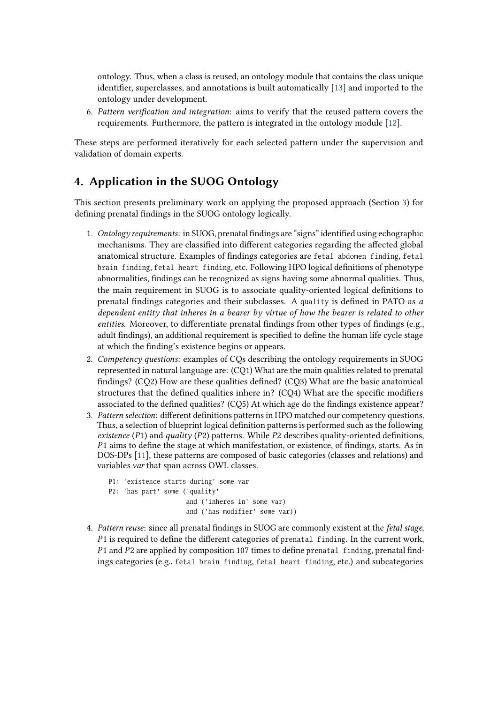ontology. Thus, when a class is reused, an ontology module that contains the class unique identifier, superclasses, and annotations is built automatically [\[13\]](#page-6-11) and imported to the ontology under development.

6. *Pattern verification and integration*: aims to verify that the reused pattern covers the requirements. Furthermore, the pattern is integrated in the ontology module [\[12\]](#page-6-9).

These steps are performed iteratively for each selected pattern under the supervision and validation of domain experts.

## <span id="page-3-0"></span>**4. Application in the SUOG Ontology**

This section presents preliminary work on applying the proposed approach (Section [3\)](#page-2-0) for defining prenatal findings in the SUOG ontology logically.

- 1. *Ontology requirements*: in SUOG, prenatal findings are "signs" identified using echographic mechanisms. They are classified into different categories regarding the affected global anatomical structure. Examples of findings categories are fetal abdomen finding, fetal brain finding, fetal heart finding, etc. Following HPO logical definitions of phenotype abnormalities, findings can be recognized as signs having some abnormal qualities. Thus, the main requirement in SUOG is to associate quality-oriented logical definitions to prenatal findings categories and their subclasses. A quality is defined in PATO as *a dependent entity that inheres in a bearer by virtue of how the bearer is related to other entities*. Moreover, to differentiate prenatal findings from other types of findings (e.g., adult findings), an additional requirement is specified to define the human life cycle stage at which the finding's existence begins or appears.
- 2. *Competency questions*: examples of CQs describing the ontology requirements in SUOG represented in natural language are: (CQ1) What are the main qualities related to prenatal findings? (CQ2) How are these qualities defined? (CQ3) What are the basic anatomical structures that the defined qualities inhere in? (CQ4) What are the specific modifiers associated to the defined qualities? (CQ5) At which age do the findings existence appear?
- 3. *Pattern selection*: different definitions patterns in HPO matched our competency questions. Thus, a selection of blueprint logical definition patterns is performed such as the following *existence* ( $P1$ ) and *quality* ( $P2$ ) patterns. While  $P2$  describes quality-oriented definitions,  $P1$  aims to define the stage at which manifestation, or existence, of findings, starts. As in DOS-DPs [\[11\]](#page-6-8), these patterns are composed of basic categories (classes and relations) and variables var that span across OWL classes.

```
P1: 'existence starts during' some var
P2: 'has part' some ('quality'
                     and ('inheres in' some var)
                     and ('has modifier' some var))
```
4. *Pattern reuse*: since all prenatal findings in SUOG are commonly existent at the *fetal stage*,  $P1$  is required to define the different categories of prenatal finding. In the current work,  $P1$  and  $P2$  are applied by composition 107 times to define prenatal finding, prenatal findings categories (e.g., fetal brain finding, fetal heart finding, etc.) and subcategories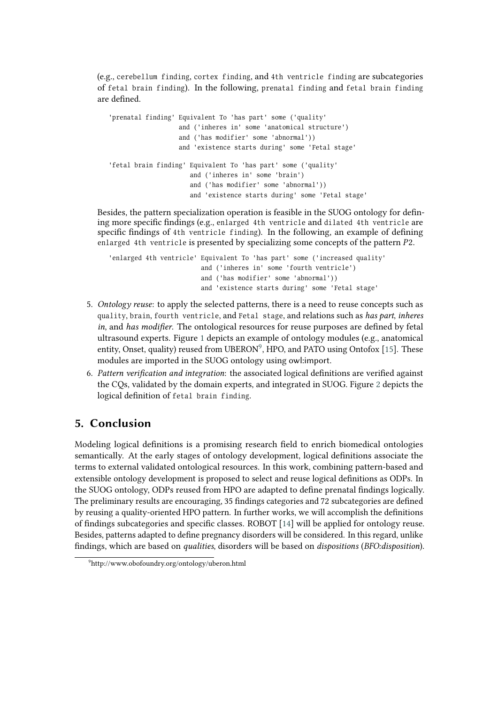(e.g., cerebellum finding, cortex finding, and 4th ventricle finding are subcategories of fetal brain finding). In the following, prenatal finding and fetal brain finding are defined.

| 'prenatal finding' Equivalent To 'has part' some ('quality'    |  |  |
|----------------------------------------------------------------|--|--|
| and ('inheres in' some 'anatomical structure')                 |  |  |
| and ('has modifier' some 'abnormal'))                          |  |  |
| and 'existence starts during' some 'Fetal stage'               |  |  |
|                                                                |  |  |
| 'fetal brain finding' Equivalent To 'has part' some ('quality' |  |  |
| and ('inheres in' some 'brain')                                |  |  |
| and ('has modifier' some 'abnormal'))                          |  |  |
| and 'existence starts during' some 'Fetal stage'               |  |  |

Besides, the pattern specialization operation is feasible in the SUOG ontology for defining more specific findings (e.g., enlarged 4th ventricle and dilated 4th ventricle are specific findings of 4th ventricle finding). In the following, an example of defining enlarged 4th ventricle is presented by specializing some concepts of the pattern P2.

```
'enlarged 4th ventricle' Equivalent To 'has part' some ('increased quality'
                        and ('inheres in' some 'fourth ventricle')
                        and ('has modifier' some 'abnormal'))
                        and 'existence starts during' some 'Fetal stage'
```
- 5. *Ontology reuse*: to apply the selected patterns, there is a need to reuse concepts such as quality, brain, fourth ventricle, and Fetal stage, and relations such as *has part, inheres in*, and *has modifier*. The ontological resources for reuse purposes are defined by fetal ultrasound experts. Figure [1](#page-5-0) depicts an example of ontology modules (e.g., anatomical entity, Onset, quality) reused from UBERON<sup>[9](#page-4-1)</sup>, HPO, and PATO using Ontofox [\[15\]](#page-6-13). These modules are imported in the SUOG ontology using owl:import.
- 6. *Pattern verification and integration*: the associated logical definitions are verified against the CQs, validated by the domain experts, and integrated in SUOG. Figure [2](#page-5-1) depicts the logical definition of fetal brain finding.

## <span id="page-4-0"></span>**5. Conclusion**

Modeling logical definitions is a promising research field to enrich biomedical ontologies semantically. At the early stages of ontology development, logical definitions associate the terms to external validated ontological resources. In this work, combining pattern-based and extensible ontology development is proposed to select and reuse logical definitions as ODPs. In the SUOG ontology, ODPs reused from HPO are adapted to define prenatal findings logically. The preliminary results are encouraging, 35 findings categories and 72 subcategories are defined by reusing a quality-oriented HPO pattern. In further works, we will accomplish the definitions of findings subcategories and specific classes. ROBOT [\[14\]](#page-6-12) will be applied for ontology reuse. Besides, patterns adapted to define pregnancy disorders will be considered. In this regard, unlike findings, which are based on *qualities*, disorders will be based on *dispositions* (*BFO:disposition*).

<span id="page-4-1"></span><sup>9</sup>http://www.obofoundry.org/ontology/uberon.html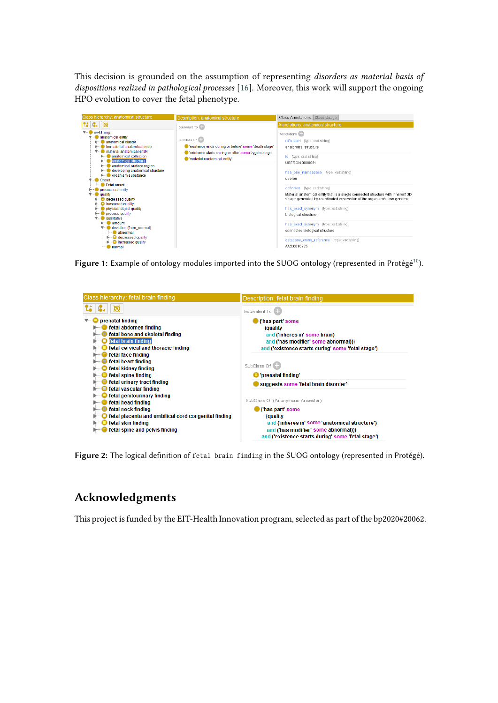This decision is grounded on the assumption of representing *disorders as material basis of dispositions realized in pathological processes* [\[16\]](#page-6-14). Moreover, this work will support the ongoing HPO evolution to cover the fetal phenotype.

| Class hierarchy: anatomical structure                                                                                                                                                                                                                                                                                                                                                                                                                                                                                                                                                                                                                                                        | Description: anatomical structure                                                                                                                               | Class Annotations Class Usage                                                                                                                                                                                                                                                                                                                                                                                                                                                                                                                                           |
|----------------------------------------------------------------------------------------------------------------------------------------------------------------------------------------------------------------------------------------------------------------------------------------------------------------------------------------------------------------------------------------------------------------------------------------------------------------------------------------------------------------------------------------------------------------------------------------------------------------------------------------------------------------------------------------------|-----------------------------------------------------------------------------------------------------------------------------------------------------------------|-------------------------------------------------------------------------------------------------------------------------------------------------------------------------------------------------------------------------------------------------------------------------------------------------------------------------------------------------------------------------------------------------------------------------------------------------------------------------------------------------------------------------------------------------------------------------|
| $\mathbf{G}_{+}$<br>∣⊠                                                                                                                                                                                                                                                                                                                                                                                                                                                                                                                                                                                                                                                                       | Equivalent To (                                                                                                                                                 | Annotations: anatomical structure                                                                                                                                                                                                                                                                                                                                                                                                                                                                                                                                       |
| owl:Thing<br>anatomical entity<br>anatomical cluster<br>immaterial anatomical entity<br>material anatomical entity<br>anatomical collection<br>anatomical structure<br>anatomical surface region<br>developing anatomical structure<br>organism substance<br><b>Onset</b><br><b>Fetal onset</b><br>processual entity<br><b>Countil</b><br>$\blacktriangleright$ $\blacksquare$ decreased quality<br>$\blacktriangleright$ $\blacksquare$ increased quality<br>physical object quality<br>process quality<br>qualitative<br>amount<br>deviation (from_normal)<br>abnormal<br>$\blacktriangleright$ $\blacksquare$ decreased quality<br>$\blacktriangleright$ $\blacksquare$ increased quality | SubClass Of (<br>"existence ends during or before' some 'death stage'<br>l'existence starts during or after' some 'zygote stage'<br>Imaterial anatomical entity | Annotations <sup>CD</sup><br>rdfs:label [type: xsd:string]<br>anatomical structure<br>id [type: xsd:string]<br>UBFRON:0000061<br>has obo namespace [type: xsd:string]<br>uberon<br>definition (type: xsd:string)<br>Material anatomical entity that is a single connected structure with inherent 3D<br>shape generated by coordinated expression of the organism's own genome.<br>has_exact_synonym [type:xsd:string]<br>biological structure<br>has exact synonym [type: xsd:string]<br>connected biological structure<br>database cross reference [type: xsd:string] |

Figure 1: Example of ontology modules imported into the SUOG ontology (represented in Protégé<sup>[10](#page-6-15)</sup>).

<span id="page-5-0"></span>

| Class hierarchy: fetal brain finding                                                                                                                      | Description: fetal brain finding                                                                                                                            |
|-----------------------------------------------------------------------------------------------------------------------------------------------------------|-------------------------------------------------------------------------------------------------------------------------------------------------------------|
|                                                                                                                                                           | Equivalent To                                                                                                                                               |
| prenatal finding<br>fetal abdomen finding<br>fetal bone and skeletal finding<br>fetal brain finding<br>fetal cervical and thoracic finding                | ('has part' some<br>(quality<br>and ('inheres in' some brain)<br>and ('has modifier' some abnormal)))<br>and ("existence starts during" some 'fetal stage') |
| fetal face finding<br>fetal heart finding<br>fetal kidney finding<br>fetal spine finding<br>fetal urinary tract finding                                   | SubClass Of<br><b>■</b> 'prenatal finding'<br>suggests some 'fetal brain disorder'                                                                          |
| fetal vascular finding<br>fetal genitourinary finding<br>fetal head finding<br>fetal neck finding<br>fetal placenta and umbilical cord congenital finding | SubClass Of (Anonymous Ancestor)<br><b>Chas part'some</b><br>(quality)                                                                                      |
| fetal skin finding<br>fetal spine and pelvis finding                                                                                                      | and ('inheres in' some 'anatomical structure')<br>and ('has modifier' some abnormal)))<br>and ('existence starts during' some 'fetal stage')                |

<span id="page-5-1"></span>Figure 2: The logical definition of fetal brain finding in the SUOG ontology (represented in Protégé).

## **Acknowledgments**

This project is funded by the EIT-Health Innovation program, selected as part of the bp2020#20062.